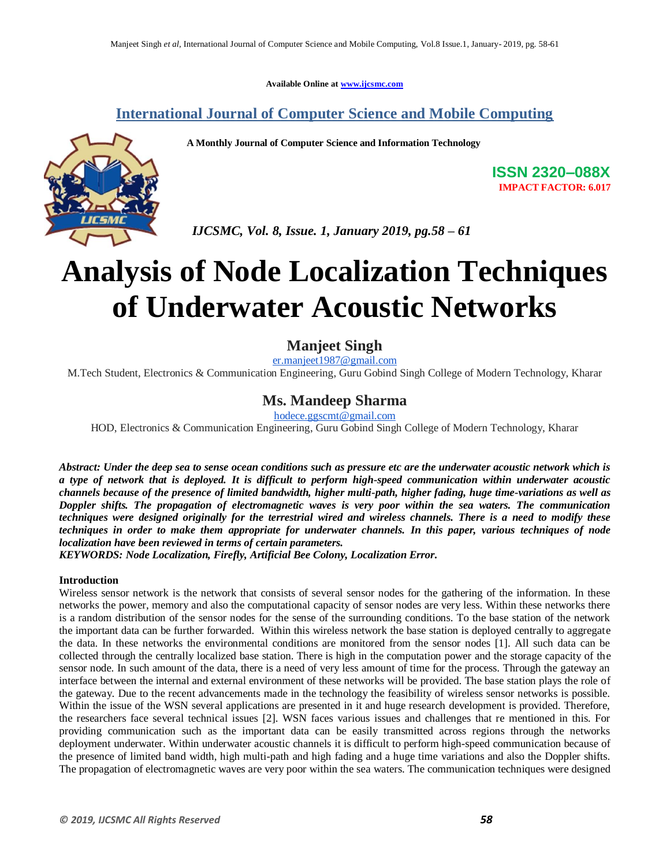**Available Online at www.ijcsmc.com**

## **International Journal of Computer Science and Mobile Computing**

 **A Monthly Journal of Computer Science and Information Technology**



**ISSN 2320–088X IMPACT FACTOR: 6.017**

 *IJCSMC, Vol. 8, Issue. 1, January 2019, pg.58 – 61*

# **Analysis of Node Localization Techniques of Underwater Acoustic Networks**

## **Manjeet Singh**

er.manjeet1987@gmail.com

M.Tech Student, Electronics & Communication Engineering, Guru Gobind Singh College of Modern Technology, Kharar

## **Ms. Mandeep Sharma**

hodece.ggscmt@gmail.com

HOD, Electronics & Communication Engineering, Guru Gobind Singh College of Modern Technology, Kharar

*Abstract: Under the deep sea to sense ocean conditions such as pressure etc are the underwater acoustic network which is a type of network that is deployed. It is difficult to perform high-speed communication within underwater acoustic channels because of the presence of limited bandwidth, higher multi-path, higher fading, huge time-variations as well as Doppler shifts. The propagation of electromagnetic waves is very poor within the sea waters. The communication techniques were designed originally for the terrestrial wired and wireless channels. There is a need to modify these techniques in order to make them appropriate for underwater channels. In this paper, various techniques of node localization have been reviewed in terms of certain parameters.*

*KEYWORDS: Node Localization, Firefly, Artificial Bee Colony, Localization Error.*

#### **Introduction**

Wireless sensor network is the network that consists of several sensor nodes for the gathering of the information. In these networks the power, memory and also the computational capacity of sensor nodes are very less. Within these networks there is a random distribution of the sensor nodes for the sense of the surrounding conditions. To the base station of the network the important data can be further forwarded. Within this wireless network the base station is deployed centrally to aggregate the data. In these networks the environmental conditions are monitored from the sensor nodes [1]. All such data can be collected through the centrally localized base station. There is high in the computation power and the storage capacity of the sensor node. In such amount of the data, there is a need of very less amount of time for the process. Through the gateway an interface between the internal and external environment of these networks will be provided. The base station plays the role of the gateway. Due to the recent advancements made in the technology the feasibility of wireless sensor networks is possible. Within the issue of the WSN several applications are presented in it and huge research development is provided. Therefore, the researchers face several technical issues [2]. WSN faces various issues and challenges that re mentioned in this. For providing communication such as the important data can be easily transmitted across regions through the networks deployment underwater. Within underwater acoustic channels it is difficult to perform high-speed communication because of the presence of limited band width, high multi-path and high fading and a huge time variations and also the Doppler shifts. The propagation of electromagnetic waves are very poor within the sea waters. The communication techniques were designed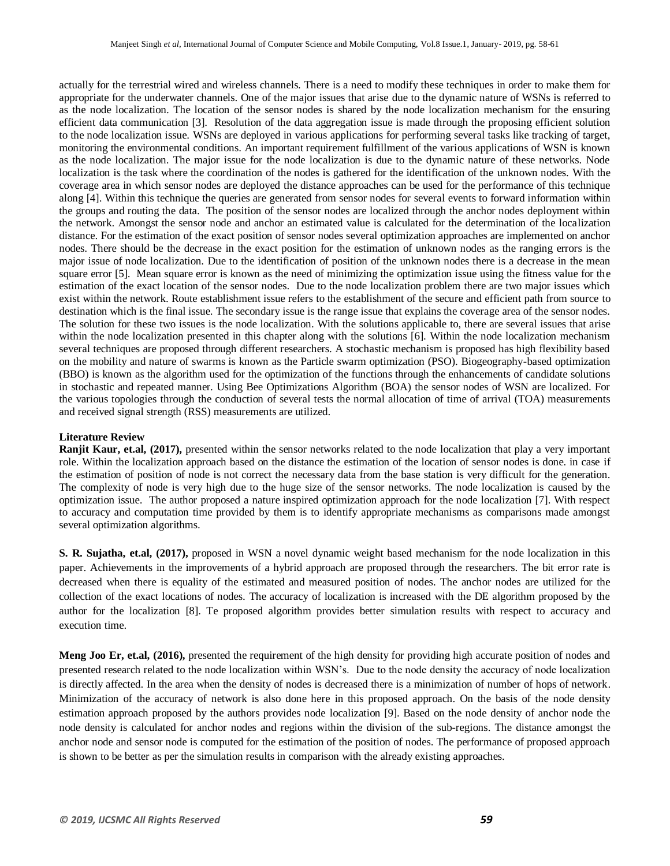actually for the terrestrial wired and wireless channels. There is a need to modify these techniques in order to make them for appropriate for the underwater channels. One of the major issues that arise due to the dynamic nature of WSNs is referred to as the node localization. The location of the sensor nodes is shared by the node localization mechanism for the ensuring efficient data communication [3]. Resolution of the data aggregation issue is made through the proposing efficient solution to the node localization issue. WSNs are deployed in various applications for performing several tasks like tracking of target, monitoring the environmental conditions. An important requirement fulfillment of the various applications of WSN is known as the node localization. The major issue for the node localization is due to the dynamic nature of these networks. Node localization is the task where the coordination of the nodes is gathered for the identification of the unknown nodes. With the coverage area in which sensor nodes are deployed the distance approaches can be used for the performance of this technique along [4]. Within this technique the queries are generated from sensor nodes for several events to forward information within the groups and routing the data. The position of the sensor nodes are localized through the anchor nodes deployment within the network. Amongst the sensor node and anchor an estimated value is calculated for the determination of the localization distance. For the estimation of the exact position of sensor nodes several optimization approaches are implemented on anchor nodes. There should be the decrease in the exact position for the estimation of unknown nodes as the ranging errors is the major issue of node localization. Due to the identification of position of the unknown nodes there is a decrease in the mean square error [5]. Mean square error is known as the need of minimizing the optimization issue using the fitness value for the estimation of the exact location of the sensor nodes. Due to the node localization problem there are two major issues which exist within the network. Route establishment issue refers to the establishment of the secure and efficient path from source to destination which is the final issue. The secondary issue is the range issue that explains the coverage area of the sensor nodes. The solution for these two issues is the node localization. With the solutions applicable to, there are several issues that arise within the node localization presented in this chapter along with the solutions [6]. Within the node localization mechanism several techniques are proposed through different researchers. A stochastic mechanism is proposed has high flexibility based on the mobility and nature of swarms is known as the Particle swarm optimization (PSO). Biogeography-based optimization (BBO) is known as the algorithm used for the optimization of the functions through the enhancements of candidate solutions in stochastic and repeated manner. Using Bee Optimizations Algorithm (BOA) the sensor nodes of WSN are localized. For the various topologies through the conduction of several tests the normal allocation of time of arrival (TOA) measurements and received signal strength (RSS) measurements are utilized.

#### **Literature Review**

**Ranjit Kaur, et.al, (2017),** presented within the sensor networks related to the node localization that play a very important role. Within the localization approach based on the distance the estimation of the location of sensor nodes is done. in case if the estimation of position of node is not correct the necessary data from the base station is very difficult for the generation. The complexity of node is very high due to the huge size of the sensor networks. The node localization is caused by the optimization issue. The author proposed a nature inspired optimization approach for the node localization [7]. With respect to accuracy and computation time provided by them is to identify appropriate mechanisms as comparisons made amongst several optimization algorithms.

**S. R. Sujatha, et.al, (2017),** proposed in WSN a novel dynamic weight based mechanism for the node localization in this paper. Achievements in the improvements of a hybrid approach are proposed through the researchers. The bit error rate is decreased when there is equality of the estimated and measured position of nodes. The anchor nodes are utilized for the collection of the exact locations of nodes. The accuracy of localization is increased with the DE algorithm proposed by the author for the localization [8]. Te proposed algorithm provides better simulation results with respect to accuracy and execution time.

**Meng Joo Er, et.al, (2016),** presented the requirement of the high density for providing high accurate position of nodes and presented research related to the node localization within WSN's. Due to the node density the accuracy of node localization is directly affected. In the area when the density of nodes is decreased there is a minimization of number of hops of network. Minimization of the accuracy of network is also done here in this proposed approach. On the basis of the node density estimation approach proposed by the authors provides node localization [9]. Based on the node density of anchor node the node density is calculated for anchor nodes and regions within the division of the sub-regions. The distance amongst the anchor node and sensor node is computed for the estimation of the position of nodes. The performance of proposed approach is shown to be better as per the simulation results in comparison with the already existing approaches.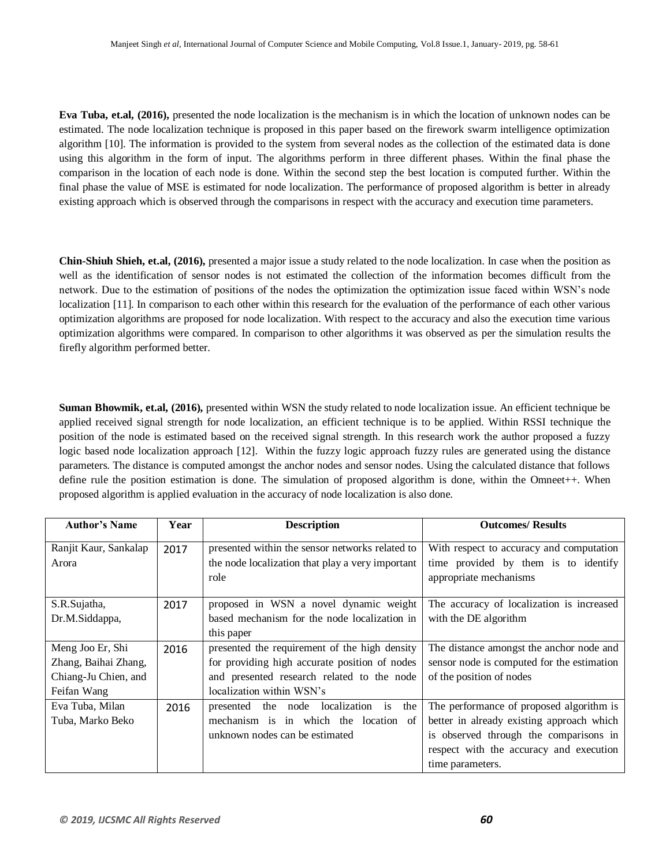**Eva Tuba, et.al, (2016),** presented the node localization is the mechanism is in which the location of unknown nodes can be estimated. The node localization technique is proposed in this paper based on the firework swarm intelligence optimization algorithm [10]. The information is provided to the system from several nodes as the collection of the estimated data is done using this algorithm in the form of input. The algorithms perform in three different phases. Within the final phase the comparison in the location of each node is done. Within the second step the best location is computed further. Within the final phase the value of MSE is estimated for node localization. The performance of proposed algorithm is better in already existing approach which is observed through the comparisons in respect with the accuracy and execution time parameters.

**Chin-Shiuh Shieh, et.al, (2016),** presented a major issue a study related to the node localization. In case when the position as well as the identification of sensor nodes is not estimated the collection of the information becomes difficult from the network. Due to the estimation of positions of the nodes the optimization the optimization issue faced within WSN's node localization [11]. In comparison to each other within this research for the evaluation of the performance of each other various optimization algorithms are proposed for node localization. With respect to the accuracy and also the execution time various optimization algorithms were compared. In comparison to other algorithms it was observed as per the simulation results the firefly algorithm performed better.

**Suman Bhowmik, et.al, (2016),** presented within WSN the study related to node localization issue. An efficient technique be applied received signal strength for node localization, an efficient technique is to be applied. Within RSSI technique the position of the node is estimated based on the received signal strength. In this research work the author proposed a fuzzy logic based node localization approach [12]. Within the fuzzy logic approach fuzzy rules are generated using the distance parameters. The distance is computed amongst the anchor nodes and sensor nodes. Using the calculated distance that follows define rule the position estimation is done. The simulation of proposed algorithm is done, within the Omneet++. When proposed algorithm is applied evaluation in the accuracy of node localization is also done.

| <b>Author's Name</b>  | Year | <b>Description</b>                               | <b>Outcomes/ Results</b>                   |
|-----------------------|------|--------------------------------------------------|--------------------------------------------|
| Ranjit Kaur, Sankalap | 2017 | presented within the sensor networks related to  | With respect to accuracy and computation   |
| Arora                 |      | the node localization that play a very important | time provided by them is to identify       |
|                       |      | role                                             | appropriate mechanisms                     |
| S.R.Sujatha,          | 2017 | proposed in WSN a novel dynamic weight           | The accuracy of localization is increased  |
| Dr.M.Siddappa,        |      | based mechanism for the node localization in     | with the DE algorithm                      |
|                       |      | this paper                                       |                                            |
| Meng Joo Er, Shi      | 2016 | presented the requirement of the high density    | The distance amongst the anchor node and   |
| Zhang, Baihai Zhang,  |      | for providing high accurate position of nodes    | sensor node is computed for the estimation |
| Chiang-Ju Chien, and  |      | and presented research related to the node       | of the position of nodes                   |
| Feifan Wang           |      | localization within WSN's                        |                                            |
| Eva Tuba, Milan       | 2016 | localization is<br>the<br>presented the node     | The performance of proposed algorithm is   |
| Tuba, Marko Beko      |      | mechanism is in which the location of            | better in already existing approach which  |
|                       |      | unknown nodes can be estimated                   | is observed through the comparisons in     |
|                       |      |                                                  | respect with the accuracy and execution    |
|                       |      |                                                  | time parameters.                           |